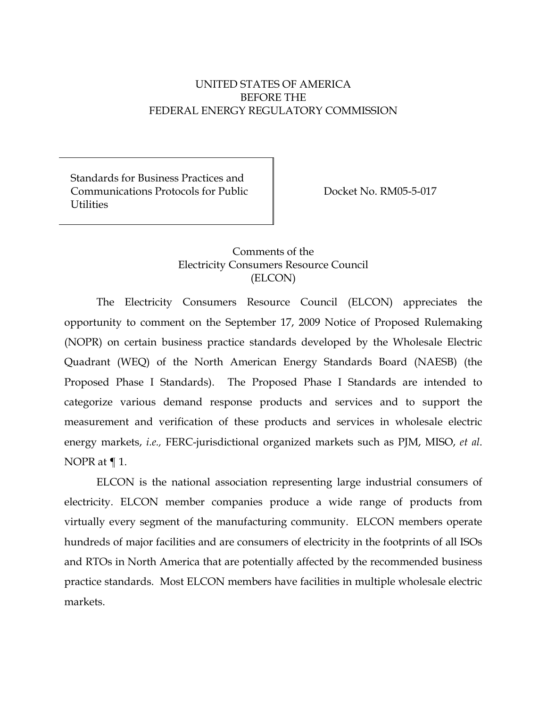# UNITED STATES OF AMERICA BEFORE THE FEDERAL ENERGY REGULATORY COMMISSION

Standards for Business Practices and Communications Protocols for Public **Utilities** 

Docket No. RM05-5-017

# Comments of the Electricity Consumers Resource Council (ELCON)

The Electricity Consumers Resource Council (ELCON) appreciates the opportunity to comment on the September 17, 2009 Notice of Proposed Rulemaking (NOPR) on certain business practice standards developed by the Wholesale Electric Quadrant (WEQ) of the North American Energy Standards Board (NAESB) (the Proposed Phase I Standards). The Proposed Phase I Standards are intended to categorize various demand response products and services and to support the measurement and verification of these products and services in wholesale electric energy markets, *i.e.,* FERC-jurisdictional organized markets such as PJM, MISO, *et al*. NOPR at ¶ 1.

ELCON is the national association representing large industrial consumers of electricity. ELCON member companies produce a wide range of products from virtually every segment of the manufacturing community. ELCON members operate hundreds of major facilities and are consumers of electricity in the footprints of all ISOs and RTOs in North America that are potentially affected by the recommended business practice standards. Most ELCON members have facilities in multiple wholesale electric markets.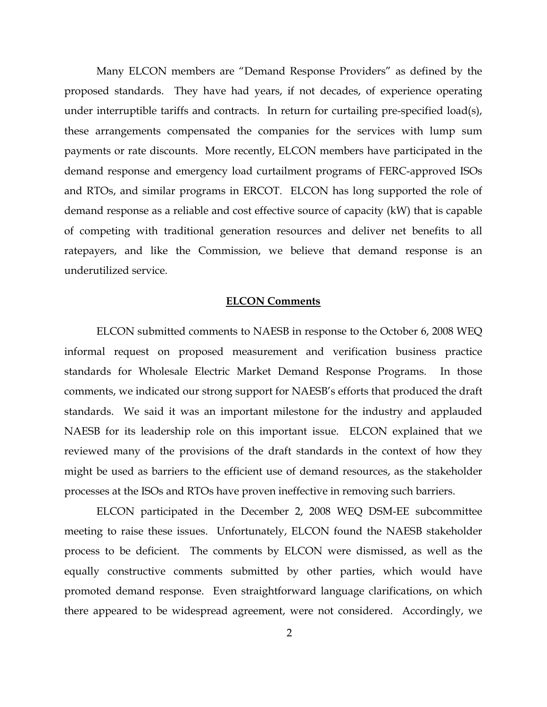Many ELCON members are "Demand Response Providers" as defined by the proposed standards. They have had years, if not decades, of experience operating under interruptible tariffs and contracts. In return for curtailing pre-specified load(s), these arrangements compensated the companies for the services with lump sum payments or rate discounts. More recently, ELCON members have participated in the demand response and emergency load curtailment programs of FERC-approved ISOs and RTOs, and similar programs in ERCOT. ELCON has long supported the role of demand response as a reliable and cost effective source of capacity (kW) that is capable of competing with traditional generation resources and deliver net benefits to all ratepayers, and like the Commission, we believe that demand response is an underutilized service.

#### **ELCON Comments**

ELCON submitted comments to NAESB in response to the October 6, 2008 WEQ informal request on proposed measurement and verification business practice standards for Wholesale Electric Market Demand Response Programs. In those comments, we indicated our strong support for NAESB's efforts that produced the draft standards. We said it was an important milestone for the industry and applauded NAESB for its leadership role on this important issue. ELCON explained that we reviewed many of the provisions of the draft standards in the context of how they might be used as barriers to the efficient use of demand resources, as the stakeholder processes at the ISOs and RTOs have proven ineffective in removing such barriers.

ELCON participated in the December 2, 2008 WEQ DSM-EE subcommittee meeting to raise these issues. Unfortunately, ELCON found the NAESB stakeholder process to be deficient. The comments by ELCON were dismissed, as well as the equally constructive comments submitted by other parties, which would have promoted demand response. Even straightforward language clarifications, on which there appeared to be widespread agreement, were not considered. Accordingly, we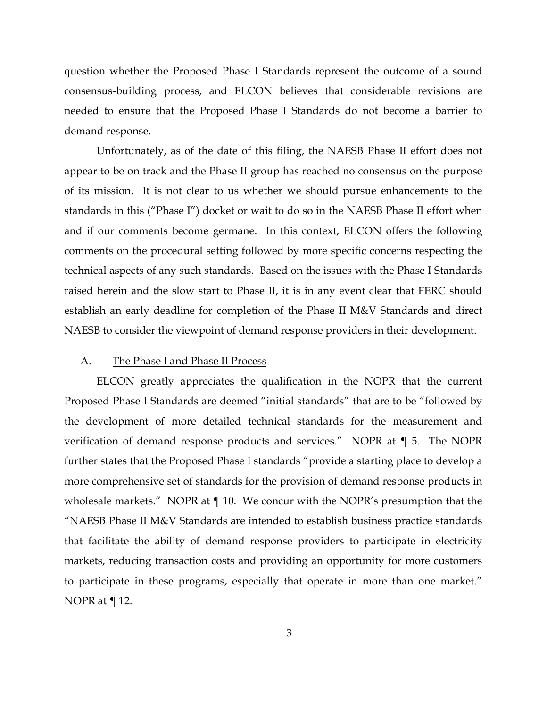question whether the Proposed Phase I Standards represent the outcome of a sound consensus-building process, and ELCON believes that considerable revisions are needed to ensure that the Proposed Phase I Standards do not become a barrier to demand response.

Unfortunately, as of the date of this filing, the NAESB Phase II effort does not appear to be on track and the Phase II group has reached no consensus on the purpose of its mission. It is not clear to us whether we should pursue enhancements to the standards in this ("Phase I") docket or wait to do so in the NAESB Phase II effort when and if our comments become germane. In this context, ELCON offers the following comments on the procedural setting followed by more specific concerns respecting the technical aspects of any such standards. Based on the issues with the Phase I Standards raised herein and the slow start to Phase II, it is in any event clear that FERC should establish an early deadline for completion of the Phase II M&V Standards and direct NAESB to consider the viewpoint of demand response providers in their development.

### A. The Phase I and Phase II Process

ELCON greatly appreciates the qualification in the NOPR that the current Proposed Phase I Standards are deemed "initial standards" that are to be "followed by the development of more detailed technical standards for the measurement and verification of demand response products and services." NOPR at ¶ 5. The NOPR further states that the Proposed Phase I standards "provide a starting place to develop a more comprehensive set of standards for the provision of demand response products in wholesale markets." NOPR at  $\P$  10. We concur with the NOPR's presumption that the "NAESB Phase II M&V Standards are intended to establish business practice standards that facilitate the ability of demand response providers to participate in electricity markets, reducing transaction costs and providing an opportunity for more customers to participate in these programs, especially that operate in more than one market." NOPR at ¶ 12.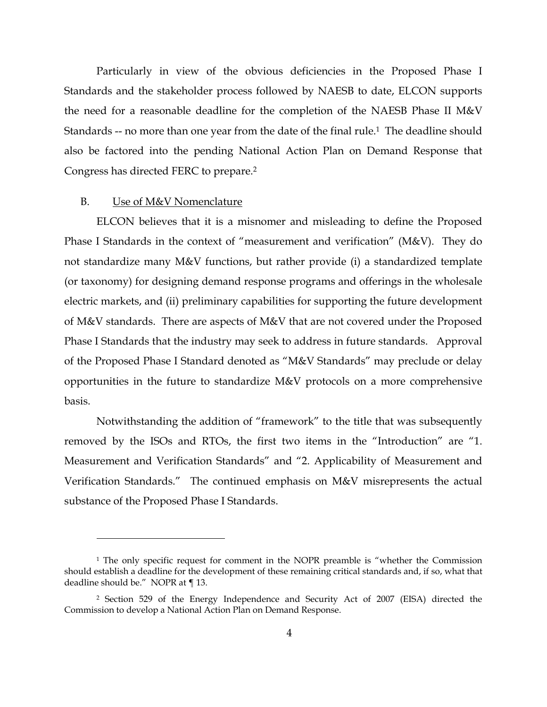Particularly in view of the obvious deficiencies in the Proposed Phase I Standards and the stakeholder process followed by NAESB to date, ELCON supports the need for a reasonable deadline for the completion of the NAESB Phase II M&V Standards -- no more than one year from the date of the final rule.<sup>1</sup> The deadline should also be factored into the pending National Action Plan on Demand Response that Congress has directed FERC to prepare.2

### B. Use of M&V Nomenclature

-

ELCON believes that it is a misnomer and misleading to define the Proposed Phase I Standards in the context of "measurement and verification" (M&V). They do not standardize many M&V functions, but rather provide (i) a standardized template (or taxonomy) for designing demand response programs and offerings in the wholesale electric markets, and (ii) preliminary capabilities for supporting the future development of M&V standards. There are aspects of M&V that are not covered under the Proposed Phase I Standards that the industry may seek to address in future standards. Approval of the Proposed Phase I Standard denoted as "M&V Standards" may preclude or delay opportunities in the future to standardize M&V protocols on a more comprehensive basis.

Notwithstanding the addition of "framework" to the title that was subsequently removed by the ISOs and RTOs, the first two items in the "Introduction" are "1. Measurement and Verification Standards" and "2. Applicability of Measurement and Verification Standards." The continued emphasis on M&V misrepresents the actual substance of the Proposed Phase I Standards.

<sup>&</sup>lt;sup>1</sup> The only specific request for comment in the NOPR preamble is "whether the Commission should establish a deadline for the development of these remaining critical standards and, if so, what that deadline should be." NOPR at ¶ 13.

<sup>2</sup> Section 529 of the Energy Independence and Security Act of 2007 (EISA) directed the Commission to develop a National Action Plan on Demand Response.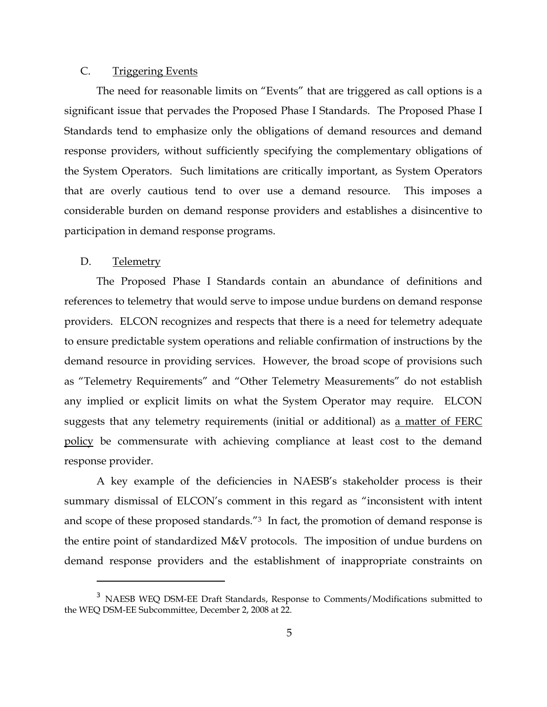## C. Triggering Events

The need for reasonable limits on "Events" that are triggered as call options is a significant issue that pervades the Proposed Phase I Standards. The Proposed Phase I Standards tend to emphasize only the obligations of demand resources and demand response providers, without sufficiently specifying the complementary obligations of the System Operators. Such limitations are critically important, as System Operators that are overly cautious tend to over use a demand resource. This imposes a considerable burden on demand response providers and establishes a disincentive to participation in demand response programs.

#### D. Telemetry

j

The Proposed Phase I Standards contain an abundance of definitions and references to telemetry that would serve to impose undue burdens on demand response providers. ELCON recognizes and respects that there is a need for telemetry adequate to ensure predictable system operations and reliable confirmation of instructions by the demand resource in providing services. However, the broad scope of provisions such as "Telemetry Requirements" and "Other Telemetry Measurements" do not establish any implied or explicit limits on what the System Operator may require. ELCON suggests that any telemetry requirements (initial or additional) as a matter of FERC policy be commensurate with achieving compliance at least cost to the demand response provider.

A key example of the deficiencies in NAESB's stakeholder process is their summary dismissal of ELCON's comment in this regard as "inconsistent with intent and scope of these proposed standards."3 In fact, the promotion of demand response is the entire point of standardized M&V protocols. The imposition of undue burdens on demand response providers and the establishment of inappropriate constraints on

<sup>3</sup> NAESB WEQ DSM-EE Draft Standards, Response to Comments/Modifications submitted to the WEQ DSM-EE Subcommittee, December 2, 2008 at 22.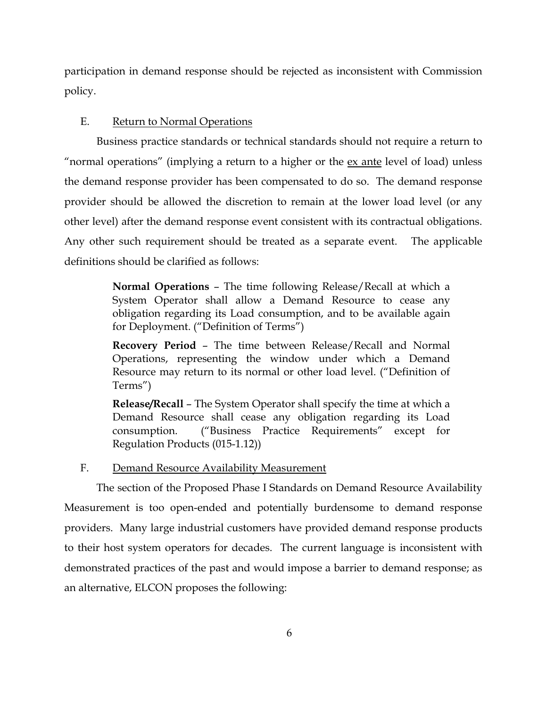participation in demand response should be rejected as inconsistent with Commission policy.

## E. Return to Normal Operations

Business practice standards or technical standards should not require a return to "normal operations" (implying a return to a higher or the <u>ex ante</u> level of load) unless the demand response provider has been compensated to do so. The demand response provider should be allowed the discretion to remain at the lower load level (or any other level) after the demand response event consistent with its contractual obligations. Any other such requirement should be treated as a separate event. The applicable definitions should be clarified as follows:

> **Normal Operations** – The time following Release/Recall at which a System Operator shall allow a Demand Resource to cease any obligation regarding its Load consumption, and to be available again for Deployment. ("Definition of Terms")

> **Recovery Period** – The time between Release/Recall and Normal Operations, representing the window under which a Demand Resource may return to its normal or other load level. ("Definition of Terms")

> **Release/Recall** – The System Operator shall specify the time at which a Demand Resource shall cease any obligation regarding its Load consumption. ("Business Practice Requirements" except for Regulation Products (015-1.12))

F. Demand Resource Availability Measurement

The section of the Proposed Phase I Standards on Demand Resource Availability Measurement is too open-ended and potentially burdensome to demand response providers. Many large industrial customers have provided demand response products to their host system operators for decades. The current language is inconsistent with demonstrated practices of the past and would impose a barrier to demand response; as an alternative, ELCON proposes the following: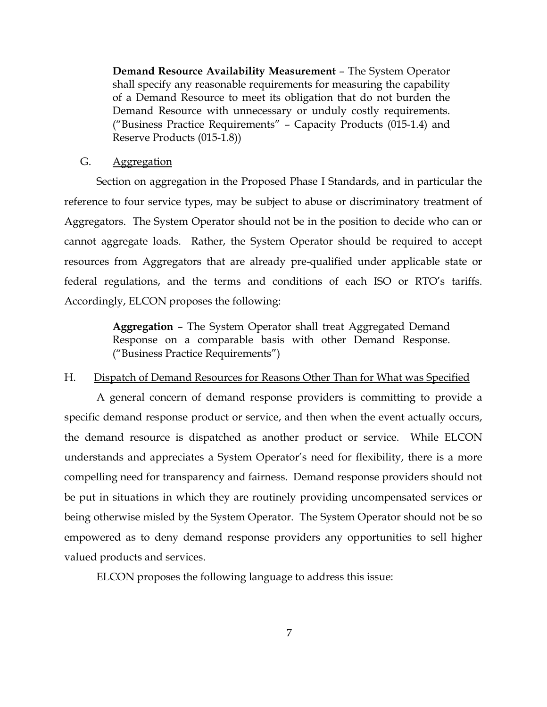**Demand Resource Availability Measurement** – The System Operator shall specify any reasonable requirements for measuring the capability of a Demand Resource to meet its obligation that do not burden the Demand Resource with unnecessary or unduly costly requirements. ("Business Practice Requirements" – Capacity Products (015-1.4) and Reserve Products (015-1.8))

### G. Aggregation

Section on aggregation in the Proposed Phase I Standards, and in particular the reference to four service types, may be subject to abuse or discriminatory treatment of Aggregators. The System Operator should not be in the position to decide who can or cannot aggregate loads. Rather, the System Operator should be required to accept resources from Aggregators that are already pre-qualified under applicable state or federal regulations, and the terms and conditions of each ISO or RTO's tariffs. Accordingly, ELCON proposes the following:

> **Aggregation** – The System Operator shall treat Aggregated Demand Response on a comparable basis with other Demand Response. ("Business Practice Requirements")

## H. Dispatch of Demand Resources for Reasons Other Than for What was Specified

A general concern of demand response providers is committing to provide a specific demand response product or service, and then when the event actually occurs, the demand resource is dispatched as another product or service. While ELCON understands and appreciates a System Operator's need for flexibility, there is a more compelling need for transparency and fairness. Demand response providers should not be put in situations in which they are routinely providing uncompensated services or being otherwise misled by the System Operator. The System Operator should not be so empowered as to deny demand response providers any opportunities to sell higher valued products and services.

ELCON proposes the following language to address this issue: